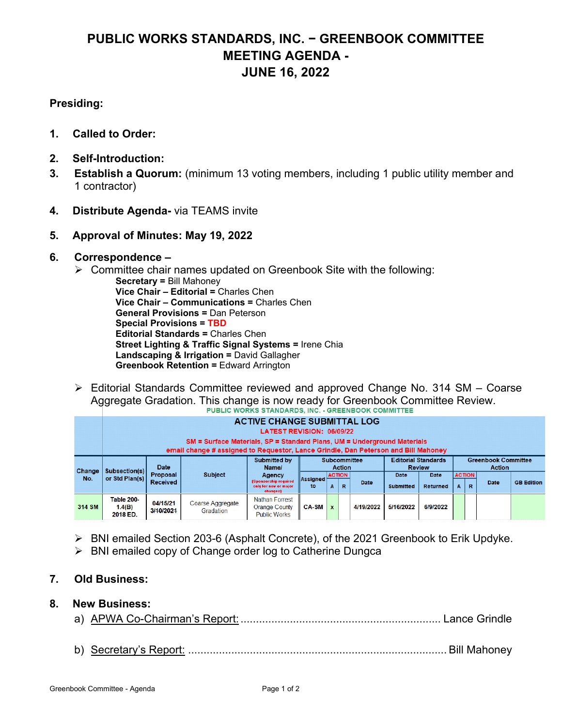# **PUBLIC WORKS STANDARDS, INC. − GREENBOOK COMMITTEE MEETING AGENDA - JUNE 16, 2022**

# **Presiding:**

- **1. Called to Order:**
- **2. Self-Introduction:**
- **3. Establish a Quorum:** (minimum 13 voting members, including 1 public utility member and 1 contractor)
- **4. Distribute Agenda-** via TEAMS invite
- **5. Approval of Minutes: May 19, 2022**

## **6. Correspondence –**

- $\triangleright$  Committee chair names updated on Greenbook Site with the following:
	- **Secretary =** Bill Mahoney  **Vice Chair – Editorial =** Charles Chen  **Vice Chair – Communications =** Charles Chen **General Provisions =** Dan Peterson  **Special Provisions = TBD Editorial Standards =** Charles Chen **Street Lighting & Traffic Signal Systems =** Irene Chia  **Landscaping & Irrigation =** David Gallagher  **Greenbook Retention =** Edward Arrington
- Editorial Standards Committee reviewed and approved Change No. 314 SM Coarse Aggregate Gradation. This change is now ready for Greenbook Committee Review.<br>PUBLIC WORKS STANDARDS, INC. - GREENBOOK COMMITTEE

|        |                                  |                             | SM = Surface Materials, SP = Standard Plans, UM = Underground Materials            | <b>ACTIVE CHANGE SUBMITTAL LOG</b><br><b>LATEST REVISION: 06/09/22</b> |                |   |                    |                     |                                             |                         |                    |   |                                             |                   |
|--------|----------------------------------|-----------------------------|------------------------------------------------------------------------------------|------------------------------------------------------------------------|----------------|---|--------------------|---------------------|---------------------------------------------|-------------------------|--------------------|---|---------------------------------------------|-------------------|
|        |                                  |                             | email change # assigned to Requestor, Lance Grindle, Dan Peterson and Bill Mahoney |                                                                        |                |   |                    |                     |                                             |                         |                    |   |                                             |                   |
| Change | Subsection(s)                    | <b>Date</b>                 |                                                                                    | Submitted by<br>Name/                                                  |                |   | <b>Action</b>      | <b>Subcommittee</b> | <b>Editorial Standards</b><br><b>Review</b> |                         |                    |   | <b>Greenbook Committee</b><br><b>Action</b> |                   |
| No.    | or Std Plan(s)                   | Proposal<br><b>Received</b> | <b>Subject</b>                                                                     | <b>Agency</b><br>(Sponsorship required<br>only for new or major        | Assigned<br>to | A | <b>ACTION</b><br>R | Date                | <b>Date</b><br><b>Submitted</b>             | <b>Date</b><br>Returned | <b>ACTION</b><br>A | R | <b>Date</b>                                 | <b>GB</b> Edition |
|        |                                  |                             |                                                                                    | <b>changes</b>                                                         |                |   |                    |                     |                                             |                         |                    |   |                                             |                   |
| 314 SM | Table 200-<br>1.4(B)<br>2018 ED. | 04/15/21<br>3/10/2021       | Coarse Aggregate<br>Gradation                                                      | <b>Nathan Forrest</b><br><b>Orange County</b><br><b>Public Works</b>   | <b>CA-SM</b>   |   |                    | 4/19/2022           | 5/16/2022                                   | 6/9/2022                |                    |   |                                             |                   |

- BNI emailed Section 203-6 (Asphalt Concrete), of the 2021 Greenbook to Erik Updyke.
- $\triangleright$  BNI emailed copy of Change order log to Catherine Dungca

# **7. Old Business:**

## **8. New Business:**

- a) APWA Co-Chairman's Report: ................................................................. Lance Grindle
- b) Secretary's Report: .................................................................................... Bill Mahoney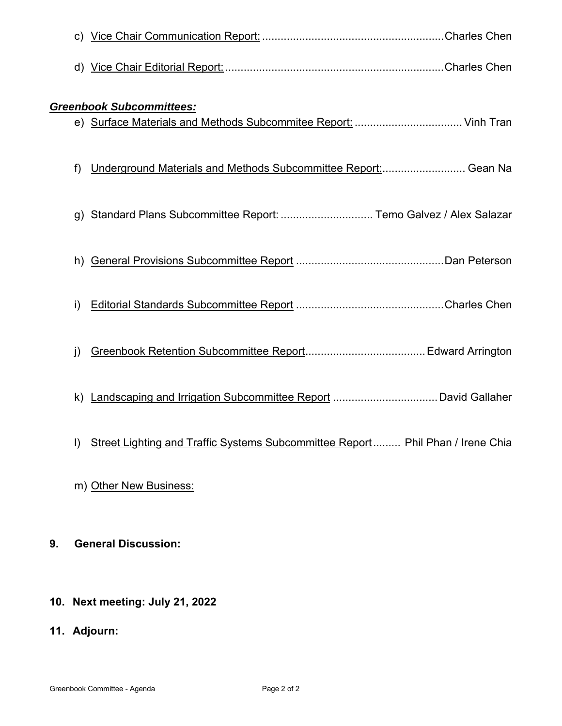|         | <b>Greenbook Subcommittees:</b>                                                |
|---------|--------------------------------------------------------------------------------|
|         |                                                                                |
| f)      | Underground Materials and Methods Subcommittee Report:  Gean Na                |
| g)      | Standard Plans Subcommittee Report:  Temo Galvez / Alex Salazar                |
| h)      |                                                                                |
| i)      |                                                                                |
| j)      |                                                                                |
| k)      |                                                                                |
| $\vert$ | Street Lighting and Traffic Systems Subcommittee Report Phil Phan / Irene Chia |
|         | m) Other New Business:                                                         |
| 9.      | <b>General Discussion:</b>                                                     |

- **10. Next meeting: July 21, 2022**
- **11. Adjourn:**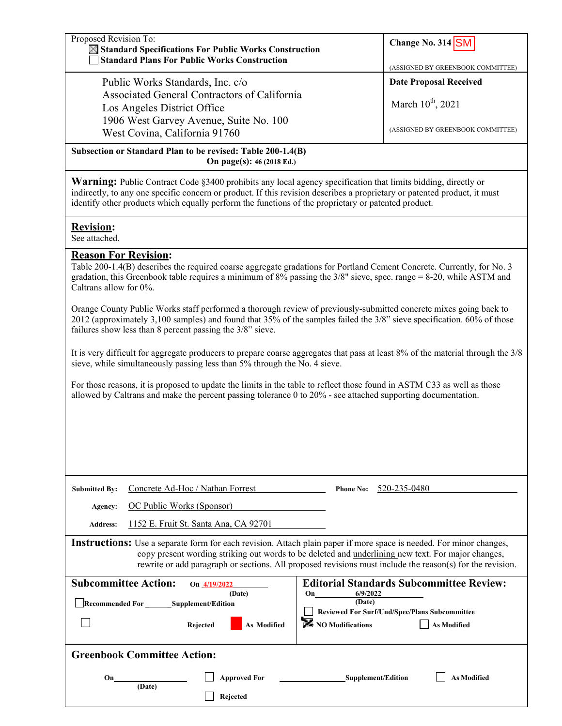| <b>Date Proposal Received</b><br>Public Works Standards, Inc. c/o<br>Associated General Contractors of California<br>March 10 <sup>th</sup> , 2021<br>Los Angeles District Office<br>1906 West Garvey Avenue, Suite No. 100<br>(ASSIGNED BY GREENBOOK COMMITTEE)<br>West Covina, California 91760<br>Subsection or Standard Plan to be revised: Table 200-1.4(B)<br>On page(s): 46 (2018 Ed.)<br><b>Warning:</b> Public Contract Code §3400 prohibits any local agency specification that limits bidding, directly or<br>indirectly, to any one specific concern or product. If this revision describes a proprietary or patented product, it must<br>identify other products which equally perform the functions of the proprietary or patented product.<br><b>Revision:</b><br>See attached.<br><b>Reason For Revision:</b><br>Table 200-1.4(B) describes the required coarse aggregate gradations for Portland Cement Concrete. Currently, for No. 3<br>gradation, this Greenbook table requires a minimum of 8% passing the $3/8$ " sieve, spec. range = 8-20, while ASTM and<br>Caltrans allow for 0%.<br>Orange County Public Works staff performed a thorough review of previously-submitted concrete mixes going back to<br>2012 (approximately 3,100 samples) and found that 35% of the samples failed the 3/8" sieve specification. 60% of those<br>failures show less than 8 percent passing the 3/8" sieve.<br>sieve, while simultaneously passing less than 5% through the No. 4 sieve.<br>For those reasons, it is proposed to update the limits in the table to reflect those found in ASTM C33 as well as those<br>allowed by Caltrans and make the percent passing tolerance $0$ to $20\%$ - see attached supporting documentation.<br>Concrete Ad-Hoc / Nathan Forrest<br>Phone No: $520-235-0480$<br><b>Submitted By:</b><br>OC Public Works (Sponsor)<br>Agency:<br>1152 E. Fruit St. Santa Ana, CA 92701<br><b>Address:</b><br><b>Instructions:</b> Use a separate form for each revision. Attach plain paper if more space is needed. For minor changes,<br>copy present wording striking out words to be deleted and underlining new text. For major changes,<br>rewrite or add paragraph or sections. All proposed revisions must include the reason(s) for the revision.<br><b>Subcommittee Action:</b><br><b>Editorial Standards Subcommittee Review:</b><br>On 4/19/2022<br>6/9/2022<br>(Date)<br>On<br>(Date)<br>Recommended For ________ Supplement/Edition<br>Reviewed For Surf/Und/Spec/Plans Subcommittee<br>NO Modifications<br><b>As Modified</b><br>Rejected<br>As Modified | Proposed Revision To:<br><b>X</b> Standard Specifications For Public Works Construction<br><b>Standard Plans For Public Works Construction</b> | Change No. $314$ SM<br>(ASSIGNED BY GREENBOOK COMMITTEE) |  |  |  |  |  |  |
|----------------------------------------------------------------------------------------------------------------------------------------------------------------------------------------------------------------------------------------------------------------------------------------------------------------------------------------------------------------------------------------------------------------------------------------------------------------------------------------------------------------------------------------------------------------------------------------------------------------------------------------------------------------------------------------------------------------------------------------------------------------------------------------------------------------------------------------------------------------------------------------------------------------------------------------------------------------------------------------------------------------------------------------------------------------------------------------------------------------------------------------------------------------------------------------------------------------------------------------------------------------------------------------------------------------------------------------------------------------------------------------------------------------------------------------------------------------------------------------------------------------------------------------------------------------------------------------------------------------------------------------------------------------------------------------------------------------------------------------------------------------------------------------------------------------------------------------------------------------------------------------------------------------------------------------------------------------------------------------------------------------------------------------------------------------------------------------------------------------------------------------------------------------------------------------------------------------------------------------------------------------------------------------------------------------------------------------------------------------------------------------------------------------------------------------------------------------------------------------------------------------------------------------------------------------------------------------------------------------|------------------------------------------------------------------------------------------------------------------------------------------------|----------------------------------------------------------|--|--|--|--|--|--|
|                                                                                                                                                                                                                                                                                                                                                                                                                                                                                                                                                                                                                                                                                                                                                                                                                                                                                                                                                                                                                                                                                                                                                                                                                                                                                                                                                                                                                                                                                                                                                                                                                                                                                                                                                                                                                                                                                                                                                                                                                                                                                                                                                                                                                                                                                                                                                                                                                                                                                                                                                                                                                |                                                                                                                                                |                                                          |  |  |  |  |  |  |
|                                                                                                                                                                                                                                                                                                                                                                                                                                                                                                                                                                                                                                                                                                                                                                                                                                                                                                                                                                                                                                                                                                                                                                                                                                                                                                                                                                                                                                                                                                                                                                                                                                                                                                                                                                                                                                                                                                                                                                                                                                                                                                                                                                                                                                                                                                                                                                                                                                                                                                                                                                                                                |                                                                                                                                                |                                                          |  |  |  |  |  |  |
|                                                                                                                                                                                                                                                                                                                                                                                                                                                                                                                                                                                                                                                                                                                                                                                                                                                                                                                                                                                                                                                                                                                                                                                                                                                                                                                                                                                                                                                                                                                                                                                                                                                                                                                                                                                                                                                                                                                                                                                                                                                                                                                                                                                                                                                                                                                                                                                                                                                                                                                                                                                                                |                                                                                                                                                |                                                          |  |  |  |  |  |  |
|                                                                                                                                                                                                                                                                                                                                                                                                                                                                                                                                                                                                                                                                                                                                                                                                                                                                                                                                                                                                                                                                                                                                                                                                                                                                                                                                                                                                                                                                                                                                                                                                                                                                                                                                                                                                                                                                                                                                                                                                                                                                                                                                                                                                                                                                                                                                                                                                                                                                                                                                                                                                                |                                                                                                                                                |                                                          |  |  |  |  |  |  |
|                                                                                                                                                                                                                                                                                                                                                                                                                                                                                                                                                                                                                                                                                                                                                                                                                                                                                                                                                                                                                                                                                                                                                                                                                                                                                                                                                                                                                                                                                                                                                                                                                                                                                                                                                                                                                                                                                                                                                                                                                                                                                                                                                                                                                                                                                                                                                                                                                                                                                                                                                                                                                |                                                                                                                                                |                                                          |  |  |  |  |  |  |
|                                                                                                                                                                                                                                                                                                                                                                                                                                                                                                                                                                                                                                                                                                                                                                                                                                                                                                                                                                                                                                                                                                                                                                                                                                                                                                                                                                                                                                                                                                                                                                                                                                                                                                                                                                                                                                                                                                                                                                                                                                                                                                                                                                                                                                                                                                                                                                                                                                                                                                                                                                                                                |                                                                                                                                                |                                                          |  |  |  |  |  |  |
|                                                                                                                                                                                                                                                                                                                                                                                                                                                                                                                                                                                                                                                                                                                                                                                                                                                                                                                                                                                                                                                                                                                                                                                                                                                                                                                                                                                                                                                                                                                                                                                                                                                                                                                                                                                                                                                                                                                                                                                                                                                                                                                                                                                                                                                                                                                                                                                                                                                                                                                                                                                                                |                                                                                                                                                |                                                          |  |  |  |  |  |  |
|                                                                                                                                                                                                                                                                                                                                                                                                                                                                                                                                                                                                                                                                                                                                                                                                                                                                                                                                                                                                                                                                                                                                                                                                                                                                                                                                                                                                                                                                                                                                                                                                                                                                                                                                                                                                                                                                                                                                                                                                                                                                                                                                                                                                                                                                                                                                                                                                                                                                                                                                                                                                                |                                                                                                                                                |                                                          |  |  |  |  |  |  |
|                                                                                                                                                                                                                                                                                                                                                                                                                                                                                                                                                                                                                                                                                                                                                                                                                                                                                                                                                                                                                                                                                                                                                                                                                                                                                                                                                                                                                                                                                                                                                                                                                                                                                                                                                                                                                                                                                                                                                                                                                                                                                                                                                                                                                                                                                                                                                                                                                                                                                                                                                                                                                |                                                                                                                                                |                                                          |  |  |  |  |  |  |
|                                                                                                                                                                                                                                                                                                                                                                                                                                                                                                                                                                                                                                                                                                                                                                                                                                                                                                                                                                                                                                                                                                                                                                                                                                                                                                                                                                                                                                                                                                                                                                                                                                                                                                                                                                                                                                                                                                                                                                                                                                                                                                                                                                                                                                                                                                                                                                                                                                                                                                                                                                                                                |                                                                                                                                                |                                                          |  |  |  |  |  |  |
|                                                                                                                                                                                                                                                                                                                                                                                                                                                                                                                                                                                                                                                                                                                                                                                                                                                                                                                                                                                                                                                                                                                                                                                                                                                                                                                                                                                                                                                                                                                                                                                                                                                                                                                                                                                                                                                                                                                                                                                                                                                                                                                                                                                                                                                                                                                                                                                                                                                                                                                                                                                                                | It is very difficult for aggregate producers to prepare coarse aggregates that pass at least 8% of the material through the 3/8                |                                                          |  |  |  |  |  |  |
|                                                                                                                                                                                                                                                                                                                                                                                                                                                                                                                                                                                                                                                                                                                                                                                                                                                                                                                                                                                                                                                                                                                                                                                                                                                                                                                                                                                                                                                                                                                                                                                                                                                                                                                                                                                                                                                                                                                                                                                                                                                                                                                                                                                                                                                                                                                                                                                                                                                                                                                                                                                                                |                                                                                                                                                |                                                          |  |  |  |  |  |  |
|                                                                                                                                                                                                                                                                                                                                                                                                                                                                                                                                                                                                                                                                                                                                                                                                                                                                                                                                                                                                                                                                                                                                                                                                                                                                                                                                                                                                                                                                                                                                                                                                                                                                                                                                                                                                                                                                                                                                                                                                                                                                                                                                                                                                                                                                                                                                                                                                                                                                                                                                                                                                                |                                                                                                                                                |                                                          |  |  |  |  |  |  |
|                                                                                                                                                                                                                                                                                                                                                                                                                                                                                                                                                                                                                                                                                                                                                                                                                                                                                                                                                                                                                                                                                                                                                                                                                                                                                                                                                                                                                                                                                                                                                                                                                                                                                                                                                                                                                                                                                                                                                                                                                                                                                                                                                                                                                                                                                                                                                                                                                                                                                                                                                                                                                |                                                                                                                                                |                                                          |  |  |  |  |  |  |
|                                                                                                                                                                                                                                                                                                                                                                                                                                                                                                                                                                                                                                                                                                                                                                                                                                                                                                                                                                                                                                                                                                                                                                                                                                                                                                                                                                                                                                                                                                                                                                                                                                                                                                                                                                                                                                                                                                                                                                                                                                                                                                                                                                                                                                                                                                                                                                                                                                                                                                                                                                                                                |                                                                                                                                                |                                                          |  |  |  |  |  |  |
|                                                                                                                                                                                                                                                                                                                                                                                                                                                                                                                                                                                                                                                                                                                                                                                                                                                                                                                                                                                                                                                                                                                                                                                                                                                                                                                                                                                                                                                                                                                                                                                                                                                                                                                                                                                                                                                                                                                                                                                                                                                                                                                                                                                                                                                                                                                                                                                                                                                                                                                                                                                                                |                                                                                                                                                |                                                          |  |  |  |  |  |  |
|                                                                                                                                                                                                                                                                                                                                                                                                                                                                                                                                                                                                                                                                                                                                                                                                                                                                                                                                                                                                                                                                                                                                                                                                                                                                                                                                                                                                                                                                                                                                                                                                                                                                                                                                                                                                                                                                                                                                                                                                                                                                                                                                                                                                                                                                                                                                                                                                                                                                                                                                                                                                                |                                                                                                                                                |                                                          |  |  |  |  |  |  |
|                                                                                                                                                                                                                                                                                                                                                                                                                                                                                                                                                                                                                                                                                                                                                                                                                                                                                                                                                                                                                                                                                                                                                                                                                                                                                                                                                                                                                                                                                                                                                                                                                                                                                                                                                                                                                                                                                                                                                                                                                                                                                                                                                                                                                                                                                                                                                                                                                                                                                                                                                                                                                |                                                                                                                                                |                                                          |  |  |  |  |  |  |
|                                                                                                                                                                                                                                                                                                                                                                                                                                                                                                                                                                                                                                                                                                                                                                                                                                                                                                                                                                                                                                                                                                                                                                                                                                                                                                                                                                                                                                                                                                                                                                                                                                                                                                                                                                                                                                                                                                                                                                                                                                                                                                                                                                                                                                                                                                                                                                                                                                                                                                                                                                                                                |                                                                                                                                                |                                                          |  |  |  |  |  |  |
|                                                                                                                                                                                                                                                                                                                                                                                                                                                                                                                                                                                                                                                                                                                                                                                                                                                                                                                                                                                                                                                                                                                                                                                                                                                                                                                                                                                                                                                                                                                                                                                                                                                                                                                                                                                                                                                                                                                                                                                                                                                                                                                                                                                                                                                                                                                                                                                                                                                                                                                                                                                                                |                                                                                                                                                |                                                          |  |  |  |  |  |  |
|                                                                                                                                                                                                                                                                                                                                                                                                                                                                                                                                                                                                                                                                                                                                                                                                                                                                                                                                                                                                                                                                                                                                                                                                                                                                                                                                                                                                                                                                                                                                                                                                                                                                                                                                                                                                                                                                                                                                                                                                                                                                                                                                                                                                                                                                                                                                                                                                                                                                                                                                                                                                                |                                                                                                                                                |                                                          |  |  |  |  |  |  |
|                                                                                                                                                                                                                                                                                                                                                                                                                                                                                                                                                                                                                                                                                                                                                                                                                                                                                                                                                                                                                                                                                                                                                                                                                                                                                                                                                                                                                                                                                                                                                                                                                                                                                                                                                                                                                                                                                                                                                                                                                                                                                                                                                                                                                                                                                                                                                                                                                                                                                                                                                                                                                | <b>Greenbook Committee Action:</b>                                                                                                             |                                                          |  |  |  |  |  |  |

| On<br>(Date) | <b>Approved For</b> | Supplement/Edition | <b>As Modified</b> |
|--------------|---------------------|--------------------|--------------------|
|              | Rejected            |                    |                    |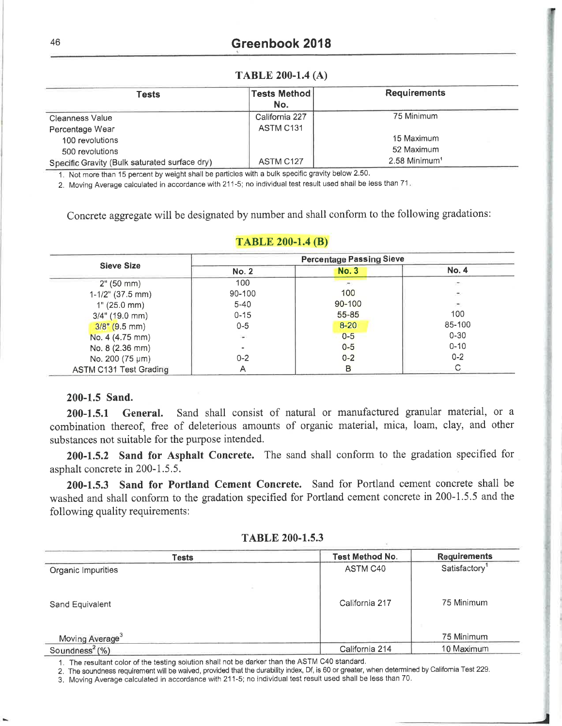### **TABLE 200-1.4 (A)**

| Tests                                         | <b>Tests Method</b><br>No. | <b>Requirements</b>       |
|-----------------------------------------------|----------------------------|---------------------------|
| <b>Cleanness Value</b>                        | California 227             | 75 Minimum                |
| Percentage Wear                               | ASTM C131                  |                           |
| 100 revolutions                               |                            | 15 Maximum                |
| 500 revolutions                               |                            | 52 Maximum                |
| Specific Gravity (Bulk saturated surface dry) | ASTM C127                  | 2.58 Minimum <sup>1</sup> |

1. Not more than 15 percent by weight shall be particles with a bulk specific gravity below 2.50.

2. Moving Average calculated in accordance with 211-5; no individual test result used shall be less than 71.

Concrete aggregate will be designated by number and shall conform to the following gradations:

|                        |              | <b>Percentage Passing Sieve</b>         |                              |  |  |  |  |  |
|------------------------|--------------|-----------------------------------------|------------------------------|--|--|--|--|--|
| <b>Sieve Size</b>      | <b>No. 2</b> | <b>No. 3</b>                            | <b>No. 4</b>                 |  |  |  |  |  |
| 2" (50 mm)             | 100          | $\left\langle \mathbf{r} \right\rangle$ | 21                           |  |  |  |  |  |
| $1-1/2$ " (37.5 mm)    | $90 - 100$   | 100                                     | $\mathcal{M}_{\mathcal{S}}$  |  |  |  |  |  |
| 1" (25.0 mm)           | $5 - 40$     | $90 - 100$                              | $\left( \frac{1}{2} \right)$ |  |  |  |  |  |
| $3/4$ " (19.0 mm)      | $0 - 15$     | $55 - 85$                               | 100                          |  |  |  |  |  |
| $3/8$ " (9.5 mm)       | $0 - 5$      | $8 - 20$                                | 85-100                       |  |  |  |  |  |
| No. 4 (4.75 mm)        | W.           | $0-5$                                   | $0 - 30$                     |  |  |  |  |  |
| No. 8 (2.36 mm)        |              | $0-5$                                   | $0 - 10$                     |  |  |  |  |  |
| No. 200 (75 µm)        | $0 - 2$      | $0 - 2$                                 | $0 - 2$                      |  |  |  |  |  |
| ASTM C131 Test Grading |              | в                                       |                              |  |  |  |  |  |

## **TABLE 200-1.4 (B)**

## 200-1.5 Sand.

Sand shall consist of natural or manufactured granular material, or a  $200 - 1.5.1$ General. combination thereof, free of deleterious amounts of organic material, mica, loam, clay, and other substances not suitable for the purpose intended.

200-1.5.2 Sand for Asphalt Concrete. The sand shall conform to the gradation specified for asphalt concrete in 200-1.5.5.

200-1.5.3 Sand for Portland Cement Concrete. Sand for Portland cement concrete shall be washed and shall conform to the gradation specified for Portland cement concrete in 200-1.5.5 and the following quality requirements:

|  |  | TABLE 200-1.5.3 |  |  |  |  |  |  |
|--|--|-----------------|--|--|--|--|--|--|
|--|--|-----------------|--|--|--|--|--|--|

| <b>Tests</b>                  | <b>Test Method No.</b> | <b>Requirements</b>       |
|-------------------------------|------------------------|---------------------------|
| Organic Impurities            | ASTM C40               | Satisfactory <sup>1</sup> |
| Sand Equivalent               | California 217         | 75 Minimum                |
| Moving Average <sup>3</sup>   |                        | 75 Minimum                |
| Soundness <sup>2</sup> $(\%)$ | California 214         | 10 Maximum                |

1. The resultant color of the testing solution shall not be darker than the ASTM C40 standard.

2. The soundness requirement will be waived, provided that the durability index, Df, is 60 or greater, when determined by California Test 229.

3. Moving Average calculated in accordance with 211-5; no individual test result used shall be less than 70.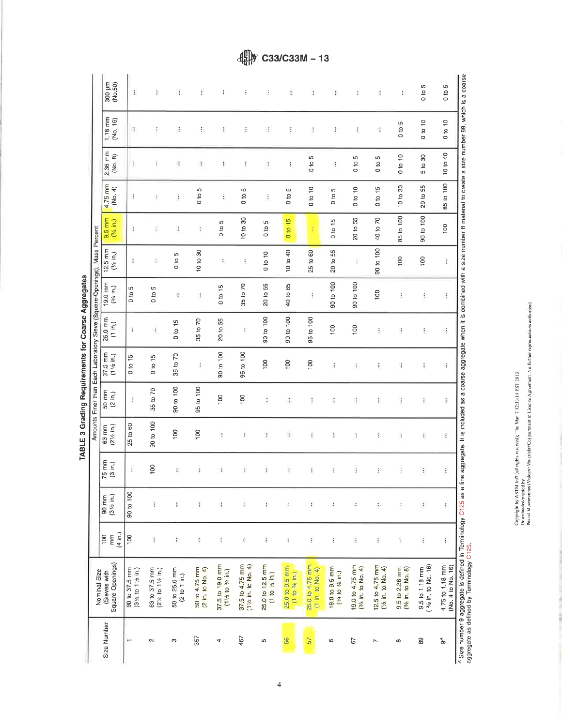TABLE 3 Grading Requirements for Coarse Aggregates

|             | Nominal Size                                                                                                              |                                                    |                               |                              |                               |                             | Amounts Finer than Each Laboratory Sieve (Square-Openings), Mass Percent |                   |                                |                                  |                      |                                 |                      |                                                                                                                                                   |                     |
|-------------|---------------------------------------------------------------------------------------------------------------------------|----------------------------------------------------|-------------------------------|------------------------------|-------------------------------|-----------------------------|--------------------------------------------------------------------------|-------------------|--------------------------------|----------------------------------|----------------------|---------------------------------|----------------------|---------------------------------------------------------------------------------------------------------------------------------------------------|---------------------|
| Size Number | Square Openings)<br>(Sieves with                                                                                          | (4 in.)<br>100<br>$\overline{\overline{\epsilon}}$ | $(3\frac{1}{2}$ in.)<br>90 mm | $75 \, \text{mm}$<br>(3 in.) | $(2\frac{1}{2}$ in.)<br>63 mm | 50 mm<br>(2 in.)            | $37.5$ mm<br>$(1\frac{1}{2}$ in.)                                        | 25.0 mm<br>(1 in) | 19.0 mm<br>$(3/4 \text{ in.})$ | $12.5 \text{ mm}$<br>$(1/2$ in.) | $9.5$ mm<br>(% in.)  | $4.75$ <sub>mm</sub><br>(No. 4) | 2.36 mm<br>(No. 8)   | 1,18 mm<br>(No. 16)                                                                                                                               | 300 µm              |
|             | 90 to 37.5 mm<br>(31/2 to 11/2 in.)                                                                                       | $\frac{8}{2}$                                      | 90 to 100                     | Ŧ                            | 25 to 60                      | $\hat{z}$                   | 15<br>$\mathbf{S}$<br>$\circ$                                            | $\frac{1}{2}$     | S<br>0 <sub>10</sub>           | t                                | ÷                    | ÷                               | ÷                    | 港                                                                                                                                                 | £                   |
| $\sim$      | 63 to 37.5 mm<br>$(2\frac{1}{2}$ to 1 <sup>1</sup> / <sub>2</sub> in.)                                                    | ï                                                  | Ĩ                             | 100                          | 90 to 100                     | 35 to 70                    | 0 to 15                                                                  | đ,                | 0 to 5                         | ŧ.                               | €                    | ţ.                              | ţ.                   | ŧ                                                                                                                                                 | ţ.                  |
| c           | 50 to 25.0 mm<br>(2 to 1 in.)                                                                                             | ŧ                                                  | ŗ.                            | ŧ                            | $\frac{8}{100}$               | 90 to 100                   | 35 to 70                                                                 | 0 to 15           | 澎                              | LΩ<br>$\frac{6}{10}$             | ï                    | ğ,                              | š                    | 谨                                                                                                                                                 | ä                   |
| 357         | 50 to 4.75 mm<br>(2 in. to No. 4)                                                                                         | ł.                                                 | š.                            | ĵ.                           | 100                           | 95 to 100                   | Ŧ                                                                        | 35 to 70          | В                              | 10 to 30                         | ä                    | 40<br>0 <sup>10</sup>           | đ,                   | F                                                                                                                                                 | ï                   |
| 4           | 37.5 to 19.0 mm<br>$(1\frac{1}{2}$ to $\frac{3}{4}$ in.)                                                                  | š                                                  | U.                            | ŧ                            | ą                             | 100                         | 90 to 100                                                                | 20 to 55          | 0 to 15                        | ţ.                               | S<br>0 <sub>10</sub> | ţ.                              | ŧ                    | ŧ                                                                                                                                                 | ÷                   |
| 467         | 37.5 to 4.75 mm<br>$(1\frac{1}{2}$ in. to No. 4)                                                                          | E.                                                 | ŧ.                            | ŧ                            | Ð                             | 100                         | 95 to 100                                                                | ŧ                 | 35 to 70                       | ï                                | 10 to 30             | LO.<br>$\frac{10}{10}$          | İ                    | ÷                                                                                                                                                 | ÷                   |
| S           | 25.0 to 12.5 mm<br>(1 to 1/2 in)                                                                                          | ŧ                                                  | ŧ                             | ĭ.                           | ž                             | $\frac{3}{2}$               | $\frac{8}{100}$                                                          | 90 to 100         | 20 to 55                       | 0 to 10                          | ю<br>$\frac{10}{10}$ | 1                               | Ł                    | 8                                                                                                                                                 | ÷                   |
| 56          | 25.0 to 9.5 mm<br>(1 to 3/6 in.)                                                                                          | đ                                                  | š                             | Ŧ                            | ğ.                            | $\langle \tilde{1} \rangle$ | 100                                                                      | 90 to 100         | 40 to 85                       | 10 to 40                         | 0 to 15              | w<br>$\frac{1}{2}$              | ĩ                    | Ĩ.                                                                                                                                                | ł.                  |
| 57          | 25.0 to 4.75 mm<br>$(1 \text{ in. to No. 4})$                                                                             | ŧ.                                                 | ŧ                             | ŧ                            | ŧ                             | Ť                           | 100                                                                      | 95 to 100         | ł                              | 25 to 60                         | ŧ                    | 0 to 10                         | S<br>$\frac{10}{10}$ | ĵ                                                                                                                                                 | $\ddagger$          |
| 6           | 19.0 to 9.5 mm<br>$(3/4 \text{ to } 3/6 \text{ in.})$                                                                     | š                                                  | ŧ                             | Ŧ                            | ğ,                            | ă                           | ŧ                                                                        | 100               | 90 to 100                      | 20 to 55                         | 0 to 15              | Б<br>$\frac{10}{2}$             | ÷                    | ł,                                                                                                                                                | ŧ.                  |
| 67          | 19.0 to 4.75 mm<br>$(\frac{3}{4}$ in, to No. 4)                                                                           | ŧ                                                  | l,                            | f,                           | 영                             | 法                           | Ŧ                                                                        | 100               | 90 to 100                      | î                                | 20 to 55             | $0$ to 10                       | ιn.<br>$\frac{1}{2}$ | ŧ                                                                                                                                                 | ţ                   |
| $\sim$      | 12.5 to 4.75 mm<br>$(1/2$ in. to No. 4)                                                                                   | ŧ                                                  | į,                            | ţ                            | š,                            | Ŧ,                          | ŧ                                                                        | ŧ                 | 100                            | 90 to 100                        | 40 to 70             | 0 to 15                         | Ю<br>$\frac{1}{2}$   | ă                                                                                                                                                 | ŧ                   |
| $\infty$    | 9.5 to 2.36 mm<br>$(3/6$ in. to No. $8)$                                                                                  | ă                                                  | $\ddot{t}$                    | ł                            | đ                             | ŧ                           | đ                                                                        | J.                | ÷                              | 100                              | 85 to 100            | 10 to 30                        | $0$ to 10            | Ю<br>010                                                                                                                                          | ţ.                  |
| 89          | 3/8 in. to No. 16)<br>9.5 to 1.18 mm                                                                                      | $\ddot{z}$                                         | $\mathbf{I}$                  | ŧ                            | ß.                            | Ð                           | ŧ                                                                        | ŧ.                | ŧ                              | 100                              | 90 to 100            | 20 to 55                        | 5 to 30              | $0$ to $10\,$                                                                                                                                     | ю<br>$\frac{6}{10}$ |
| e<br>Po     | 4.75 to 1.18 mm<br>(No. 4 to No. 16)                                                                                      | ï                                                  | I                             | î                            | ĝ.                            | Ŧ,                          | ş.                                                                       | Î,                | $\frac{1}{2}$                  | ŧ                                | 100                  | 85 to 100                       | 10 to 40             | $0$ to 10                                                                                                                                         | ю<br>$\frac{1}{2}$  |
|             | <sup>4</sup> Size number 9 aggregate is defined in Terminology C125 as a fin<br>aggregate as defined by Terminology C125. |                                                    |                               |                              |                               |                             |                                                                          |                   |                                |                                  |                      |                                 |                      | e aggregate. It is included as a coarse aggregate when it is combined with a size number 8 material to create a size number 89, which is a coarse |                     |

Copyright by ASTM Int! (all rights reservel); The Mar (7 12:35:11 FST 2013)<br>Downloaded printed by<br>Pascal Mascarenhas (Vulcan-Materia)s=Co) pursuant to License Agreement, No further reproductions authorized.

 $\left(\frac{1}{2}\right)$  C33/C33M - 13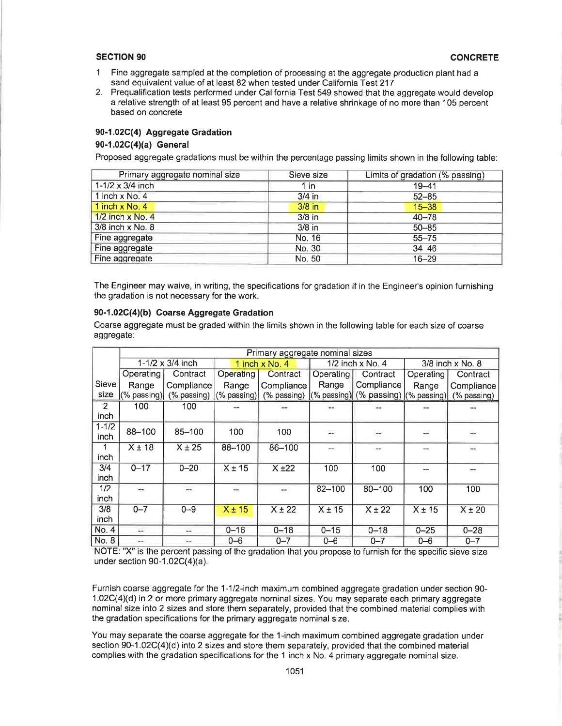#### **SECTION 90**

- $\mathbf{1}$ Fine aggregate sampled at the completion of processing at the aggregate production plant had a sand equivalent value of at least 82 when tested under California Test 217
- 2. Prequalification tests performed under California Test 549 showed that the aggregate would develop a relative strength of at least 95 percent and have a relative shrinkage of no more than 105 percent based on concrete

#### 90-1.02C(4) Aggregate Gradation

#### 90-1.02C(4)(a) General

Proposed aggregate gradations must be within the percentage passing limits shown in the following table:

| Primary aggregate nominal size | Sieve size | Limits of gradation (% passing) |
|--------------------------------|------------|---------------------------------|
| 1-1/2 x 3/4 inch               | 1 in       | $19 - 41$                       |
| 1 inch $x$ No. 4               | $3/4$ in   | $52 - 85$                       |
| 1 inch $x$ No. 4               | $3/8$ in   | $15 - 38$                       |
| $1/2$ inch x No. 4             | 3/8 in     | $40 - 78$                       |
| 3/8 inch x No. 8               | $3/8$ in   | $50 - 85$                       |
| Fine aggregate                 | No. 16     | $55 - 75$                       |
| Fine aggregate                 | No. 30     | $34 - 46$                       |
| Fine aggregate                 | No. 50     | $16 - 29$                       |

The Engineer may waive, in writing, the specifications for gradation if in the Engineer's opinion furnishing the gradation is not necessary for the work.

### 90-1.02C(4)(b) Coarse Aggregate Gradation

Coarse aggregate must be graded within the limits shown in the following table for each size of coarse aggregate:

|           | Primary aggregate nominal sizes |                  |             |                |                  |                                     |               |                  |  |
|-----------|---------------------------------|------------------|-------------|----------------|------------------|-------------------------------------|---------------|------------------|--|
|           |                                 | 1-1/2 x 3/4 inch |             | 1 inch x No. 4 |                  | $1/2$ inch x No. 4                  |               | 3/8 inch x No. 8 |  |
|           | Operating                       | Contract         | Operating   | Contract       | <b>Operating</b> | Contract                            | Operating     | Contract         |  |
| Sieve     | Range                           | Compliance       | Range       | Compliance     | Range            | Compliance                          | Range         | Compliance       |  |
| size      | (% passing)                     | (% passing)      | (% passing) | (% passing)    |                  | (% passing) (% passing) (% passing) |               | (% passing)      |  |
| 2         | 100                             | 100              |             |                |                  |                                     |               |                  |  |
| inch      |                                 |                  |             |                |                  |                                     |               |                  |  |
| $1 - 1/2$ | 88-100                          | 85-100           | 100         | 100            | $\frac{1}{2}$    | $\rightarrow$                       | $\rightarrow$ |                  |  |
| inch      |                                 |                  |             |                |                  |                                     |               |                  |  |
| 1         | $X \pm 18$                      | $X \pm 25$       | 88-100      | 86-100         | --               |                                     |               |                  |  |
| inch      |                                 |                  |             |                |                  |                                     |               |                  |  |
| 3/4       | $0 - 17$                        | $0 - 20$         | $X \pm 15$  | $X + 22$       | 100              | 100                                 | <b>Model</b>  |                  |  |
| inch      |                                 |                  |             |                |                  |                                     |               |                  |  |
| 1/2       | a.                              | m                | $-1$        | ⊷              | $82 - 100$       | $80 - 100$                          | 100           | 100              |  |
| inch      |                                 |                  |             |                |                  |                                     |               |                  |  |
| 3/8       | $0 - 7$                         | $0 - 9$          | $X \pm 15$  | $X \pm 22$     | $X \pm 15$       | $X \pm 22$                          | $X \pm 15$    | $X \pm 20$       |  |
| inch      |                                 |                  |             |                |                  |                                     |               |                  |  |
| No. 4     | $\overline{a}$                  | шù               | $0 - 16$    | $0 - 18$       | $0 - 15$         | $0 - 18$                            | $0 - 25$      | $0 - 28$         |  |
| No. 8     | ÷.                              |                  | $0 - 6$     | $0 - 7$        | $0 - 6$          | $0 - 7$                             | $0 - 6$       | $0 - 7$          |  |

NOTE: "X" is the percent passing of the gradation that you propose to furnish for the specific sieve size under section  $90-1.02C(4)(a)$ .

Furnish coarse aggregate for the 1-1/2-inch maximum combined aggregate gradation under section 90-1.02C(4)(d) in 2 or more primary aggregate nominal sizes. You may separate each primary aggregate nominal size into 2 sizes and store them separately, provided that the combined material complies with the gradation specifications for the primary aggregate nominal size.

You may separate the coarse aggregate for the 1-inch maximum combined aggregate gradation under section 90-1.02C(4)(d) into 2 sizes and store them separately, provided that the combined material complies with the gradation specifications for the 1 inch  $x$  No. 4 primary aggregate nominal size.